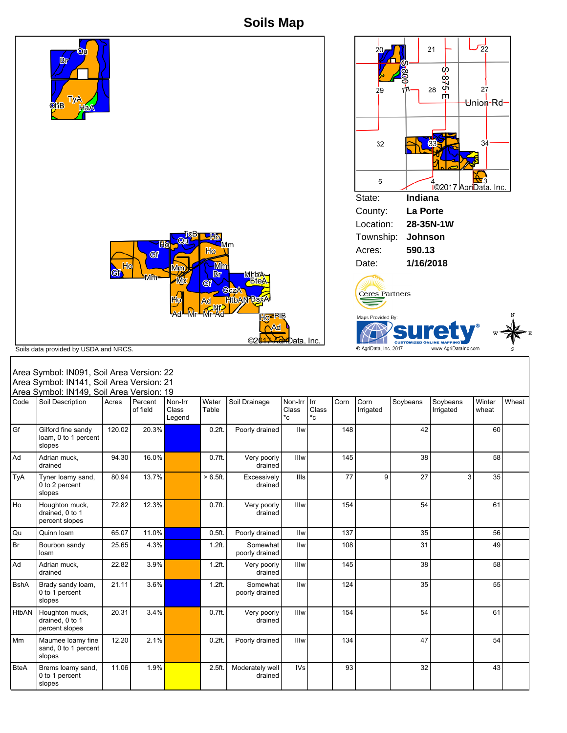**Soils Map**